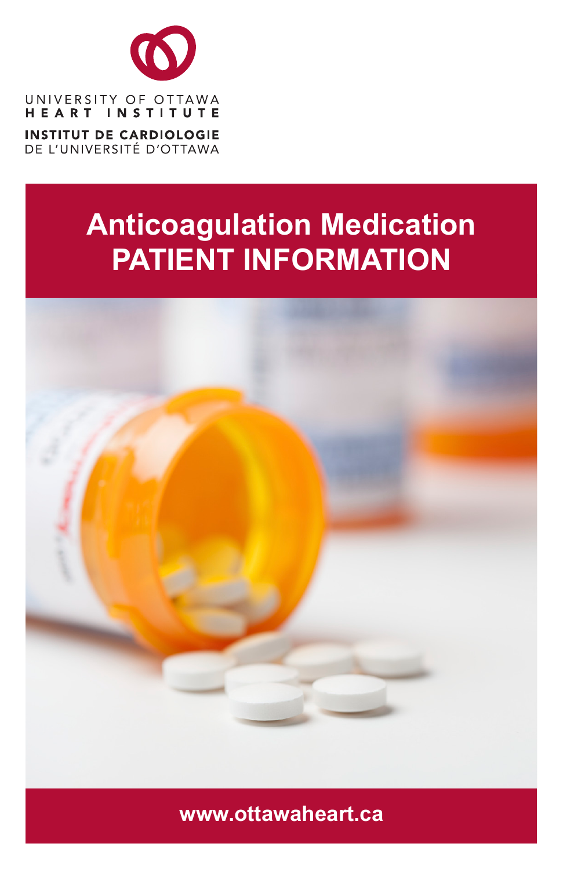

DE L'UNIVERSITÉ D'OTTAWA

# **Anticoagulation Medication PATIENT INFORMATION**



**www.ottawaheart.ca**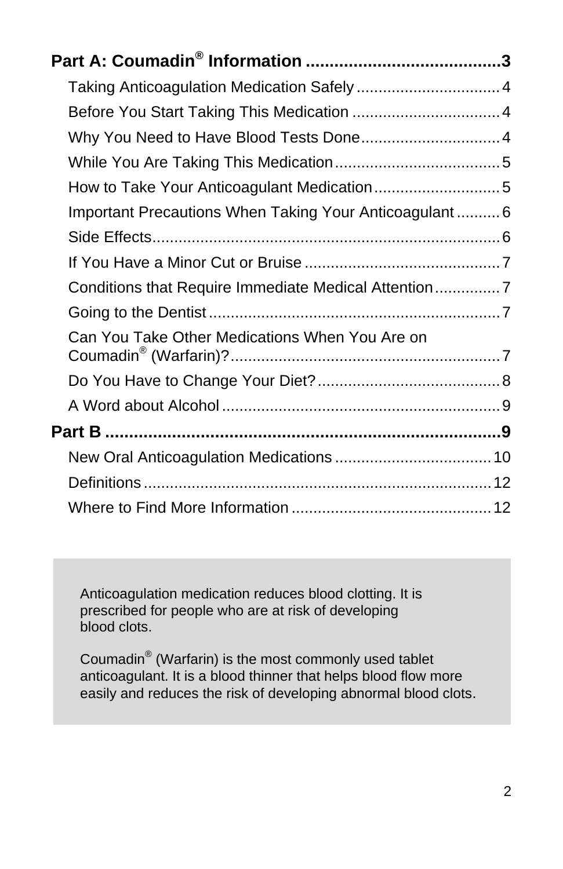| Before You Start Taking This Medication  4             |  |
|--------------------------------------------------------|--|
| Why You Need to Have Blood Tests Done 4                |  |
|                                                        |  |
|                                                        |  |
| Important Precautions When Taking Your Anticoagulant 6 |  |
|                                                        |  |
|                                                        |  |
| Conditions that Require Immediate Medical Attention7   |  |
|                                                        |  |
| Can You Take Other Medications When You Are on         |  |
|                                                        |  |
|                                                        |  |
|                                                        |  |
|                                                        |  |
|                                                        |  |
|                                                        |  |

Anticoagulation medication reduces blood clotting. It is prescribed for people who are at risk of developing blood clots.

Coumadin® (Warfarin) is the most commonly used tablet anticoagulant. It is a blood thinner that helps blood flow more easily and reduces the risk of developing abnormal blood clots.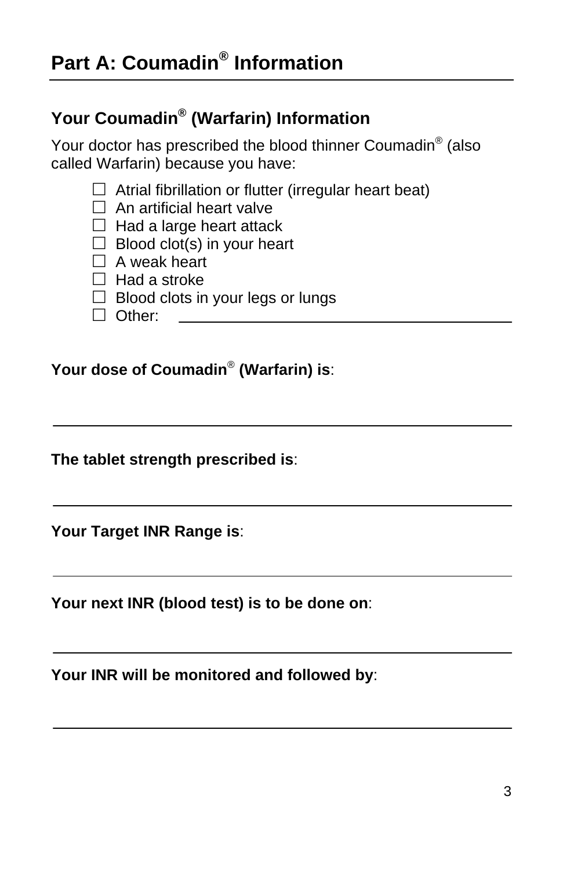## <span id="page-2-0"></span>**Your Coumadin® (Warfarin) Information**

Your doctor has prescribed the blood thinner Coumadin<sup>®</sup> (also called Warfarin) because you have:

- $\Box$  Atrial fibrillation or flutter (irregular heart beat)
- $\Box$  An artificial heart valve
- $\Box$  Had a large heart attack
- $\Box$  Blood clot(s) in your heart
- $\Box$  A weak heart
- $\Box$  Had a stroke
- $\Box$  Blood clots in your legs or lungs
- $\Box$  Other:

**Your dose of Coumadin**® **(Warfarin) is**:

**The tablet strength prescribed is**:

**Your Target INR Range is**:

**Your next INR (blood test) is to be done on**:

**Your INR will be monitored and followed by**: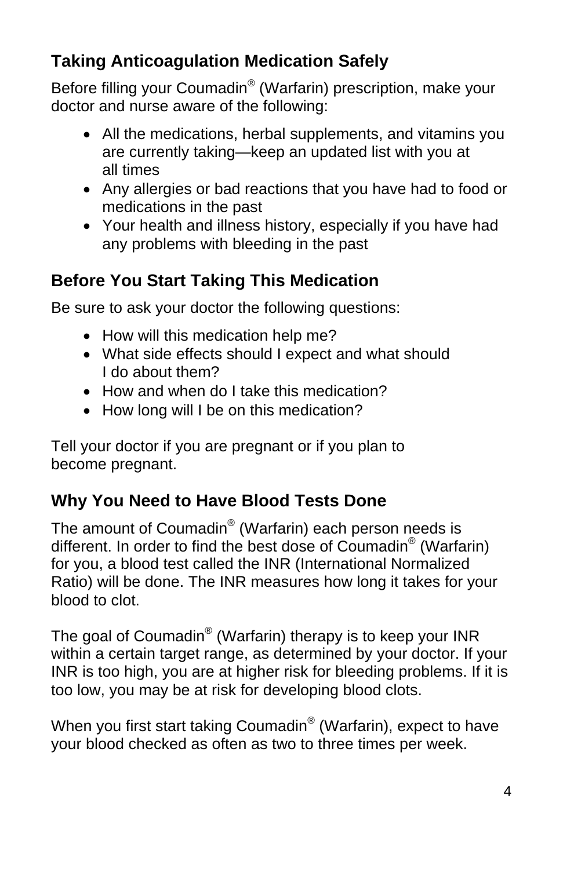## <span id="page-3-0"></span>**Taking Anticoagulation Medication Safely**

Before filling your Coumadin® (Warfarin) prescription, make your doctor and nurse aware of the following:

- All the medications, herbal supplements, and vitamins you are currently taking—keep an updated list with you at all times
- Any allergies or bad reactions that you have had to food or medications in the past
- Your health and illness history, especially if you have had any problems with bleeding in the past

### <span id="page-3-1"></span>**Before You Start Taking This Medication**

Be sure to ask your doctor the following questions:

- How will this medication help me?
- What side effects should I expect and what should I do about them?
- How and when do I take this medication?
- How long will I be on this medication?

Tell your doctor if you are pregnant or if you plan to become pregnant.

## <span id="page-3-2"></span>**Why You Need to Have Blood Tests Done**

The amount of Coumadin® (Warfarin) each person needs is different. In order to find the best dose of Coumadin® (Warfarin) for you, a blood test called the INR (International Normalized Ratio) will be done. The INR measures how long it takes for your blood to clot.

The goal of Coumadin® (Warfarin) therapy is to keep your INR within a certain target range, as determined by your doctor. If your INR is too high, you are at higher risk for bleeding problems. If it is too low, you may be at risk for developing blood clots.

When you first start taking Coumadin<sup>®</sup> (Warfarin), expect to have your blood checked as often as two to three times per week.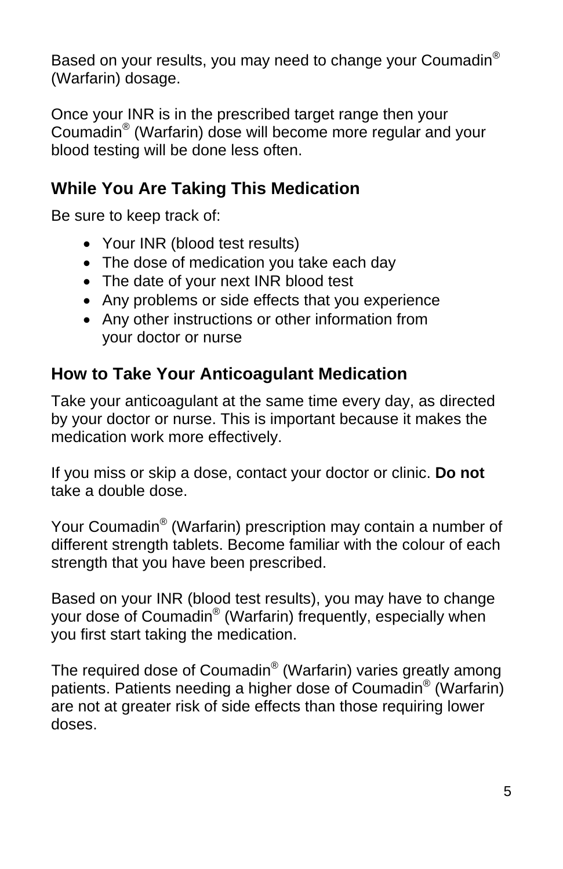Based on your results, you may need to change your Coumadin® (Warfarin) dosage.

Once your INR is in the prescribed target range then your Coumadin® (Warfarin) dose will become more regular and your blood testing will be done less often.

## <span id="page-4-0"></span>**While You Are Taking This Medication**

Be sure to keep track of:

- Your INR (blood test results)
- The dose of medication you take each day
- The date of your next INR blood test
- Any problems or side effects that you experience
- Any other instructions or other information from your doctor or nurse

## <span id="page-4-1"></span>**How to Take Your Anticoagulant Medication**

Take your anticoagulant at the same time every day, as directed by your doctor or nurse. This is important because it makes the medication work more effectively.

If you miss or skip a dose, contact your doctor or clinic. **Do not**  take a double dose.

Your Coumadin® (Warfarin) prescription may contain a number of different strength tablets. Become familiar with the colour of each strength that you have been prescribed.

Based on your INR (blood test results), you may have to change your dose of Coumadin® (Warfarin) frequently, especially when you first start taking the medication.

The required dose of Coumadin<sup>®</sup> (Warfarin) varies greatly among patients. Patients needing a higher dose of Coumadin® (Warfarin) are not at greater risk of side effects than those requiring lower doses.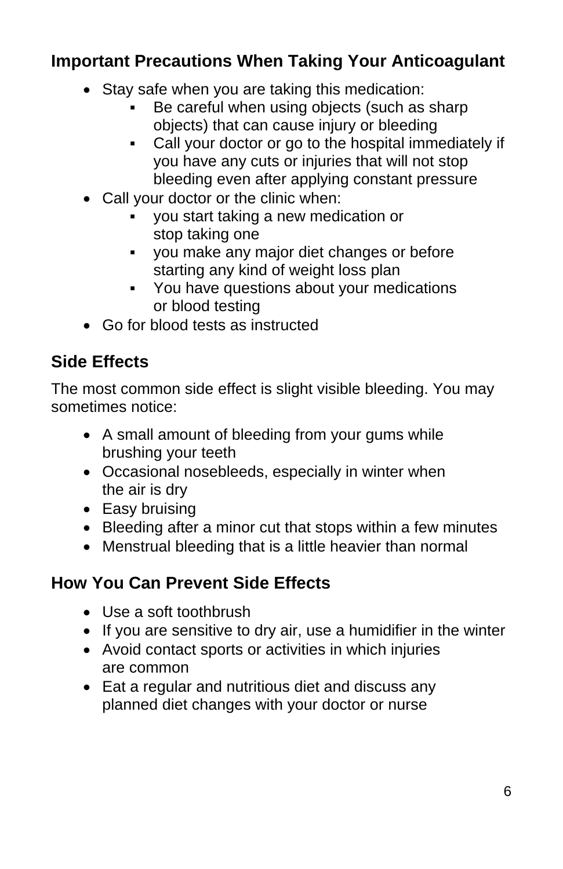## <span id="page-5-0"></span>**Important Precautions When Taking Your Anticoagulant**

- Stay safe when you are taking this medication:
	- Be careful when using objects (such as sharp objects) that can cause injury or bleeding
	- Call your doctor or go to the hospital immediately if you have any cuts or injuries that will not stop bleeding even after applying constant pressure
- Call your doctor or the clinic when:
	- you start taking a new medication or stop taking one
	- you make any major diet changes or before starting any kind of weight loss plan
	- You have questions about your medications or blood testing
- Go for blood tests as instructed

### <span id="page-5-1"></span>**Side Effects**

The most common side effect is slight visible bleeding. You may sometimes notice:

- A small amount of bleeding from your gums while brushing your teeth
- Occasional nosebleeds, especially in winter when the air is dry
- Easy bruising
- Bleeding after a minor cut that stops within a few minutes
- Menstrual bleeding that is a little heavier than normal

### **How You Can Prevent Side Effects**

- Use a soft toothbrush
- If you are sensitive to dry air, use a humidifier in the winter
- Avoid contact sports or activities in which injuries are common
- Eat a regular and nutritious diet and discuss any planned diet changes with your doctor or nurse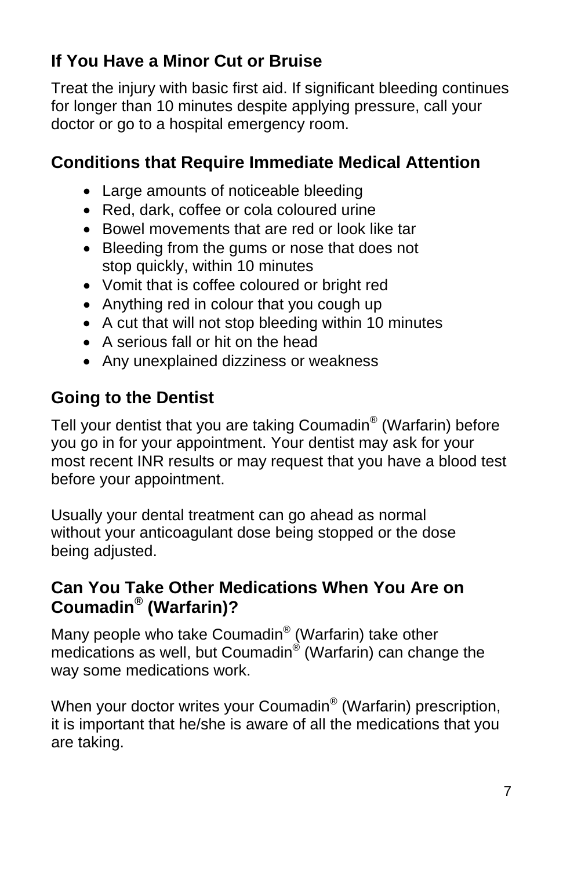## <span id="page-6-0"></span>**If You Have a Minor Cut or Bruise**

Treat the injury with basic first aid. If significant bleeding continues for longer than 10 minutes despite applying pressure, call your doctor or go to a hospital emergency room.

#### <span id="page-6-1"></span>**Conditions that Require Immediate Medical Attention**

- Large amounts of noticeable bleeding
- Red, dark, coffee or cola coloured urine
- Bowel movements that are red or look like tar
- Bleeding from the gums or nose that does not stop quickly, within 10 minutes
- Vomit that is coffee coloured or bright red
- Anything red in colour that you cough up
- A cut that will not stop bleeding within 10 minutes
- A serious fall or hit on the head
- Any unexplained dizziness or weakness

## <span id="page-6-2"></span>**Going to the Dentist**

Tell your dentist that you are taking Coumadin® (Warfarin) before you go in for your appointment. Your dentist may ask for your most recent INR results or may request that you have a blood test before your appointment.

Usually your dental treatment can go ahead as normal without your anticoagulant dose being stopped or the dose being adjusted.

#### <span id="page-6-3"></span>**Can You Take Other Medications When You Are on Coumadin® (Warfarin)?**

Many people who take Coumadin® (Warfarin) take other medications as well, but Coumadin<sup>®</sup> (Warfarin) can change the way some medications work.

When your doctor writes your Coumadin<sup>®</sup> (Warfarin) prescription, it is important that he/she is aware of all the medications that you are taking.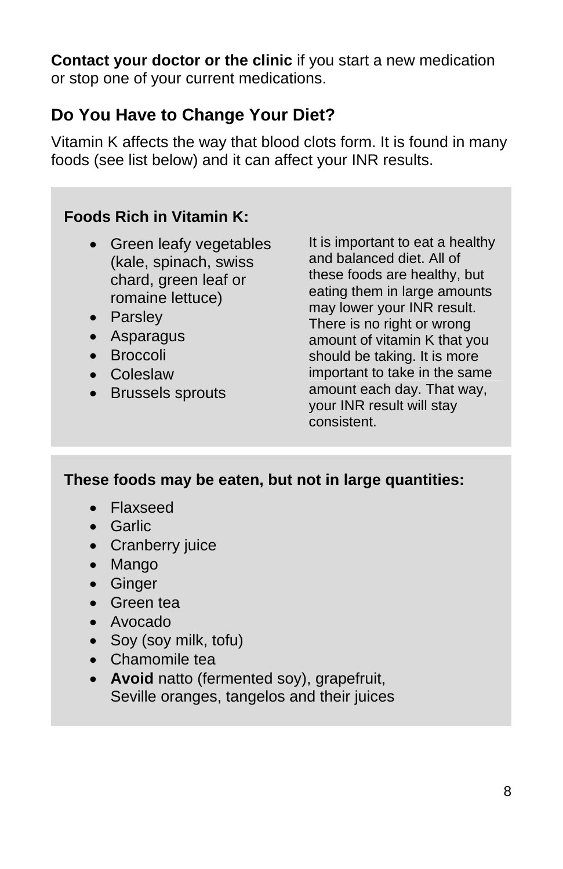**Contact your doctor or the clinic** if you start a new medication or stop one of your current medications.

### <span id="page-7-0"></span>**Do You Have to Change Your Diet?**

Vitamin K affects the way that blood clots form. It is found in many foods (see list below) and it can affect your INR results.

#### **Foods Rich in Vitamin K:**

- Green leafy vegetables (kale, spinach, swiss chard, green leaf or romaine lettuce)
- Parsley
- Asparagus
- Broccoli
- Coleslaw
- Brussels sprouts

It is important to eat a healthy and balanced diet. All of these foods are healthy, but eating them in large amounts may lower your INR result. There is no right or wrong amount of vitamin K that you should be taking. It is more important to take in the same amount each day. That way, your INR result will stay consistent.

#### **These foods may be eaten, but not in large quantities:**

- Flaxseed
- Garlic
- Cranberry juice
- Mango
- Ginger
- Green tea
- Avocado
- Soy (soy milk, tofu)
- Chamomile tea
- **Avoid** natto (fermented soy), grapefruit, Seville oranges, tangelos and their juices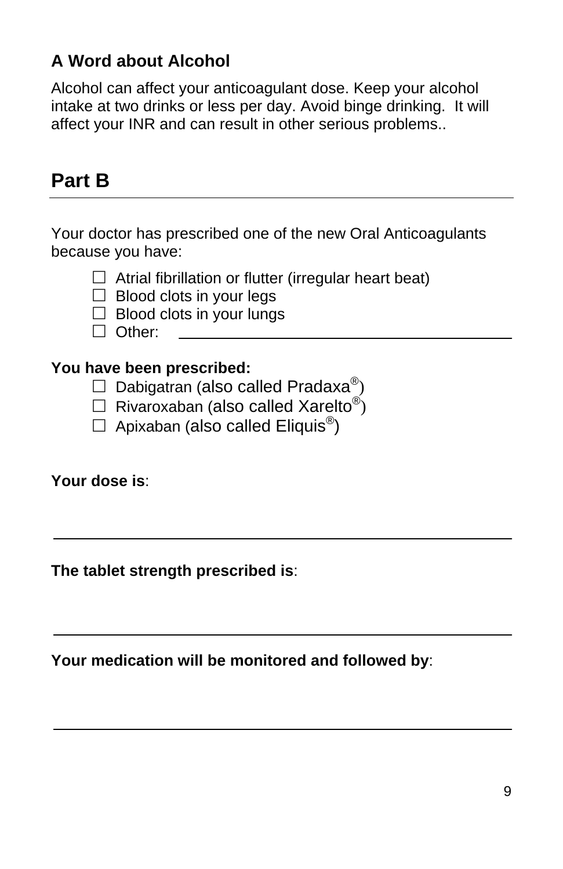## <span id="page-8-0"></span>**A Word about Alcohol**

Alcohol can affect your anticoagulant dose. Keep your alcohol intake at two drinks or less per day. Avoid binge drinking. It will affect your INR and can result in other serious problems..

# <span id="page-8-1"></span>**Part B**

Your doctor has prescribed one of the new Oral Anticoagulants because you have:

- $\Box$  Atrial fibrillation or flutter (irregular heart beat)
- $\Box$  Blood clots in your legs
- $\Box$  Blood clots in your lungs
- □ Other:

#### **You have been prescribed:**

- $\Box$  Dabigatran (also called Pradaxa<sup>®</sup>)
- $\Box$  Rivaroxaban (also called Xarelto<sup>®</sup>)
- $\Box$  Apixaban (also called Eliquis<sup>®</sup>)

#### **Your dose is**:

**The tablet strength prescribed is**:

**Your medication will be monitored and followed by**: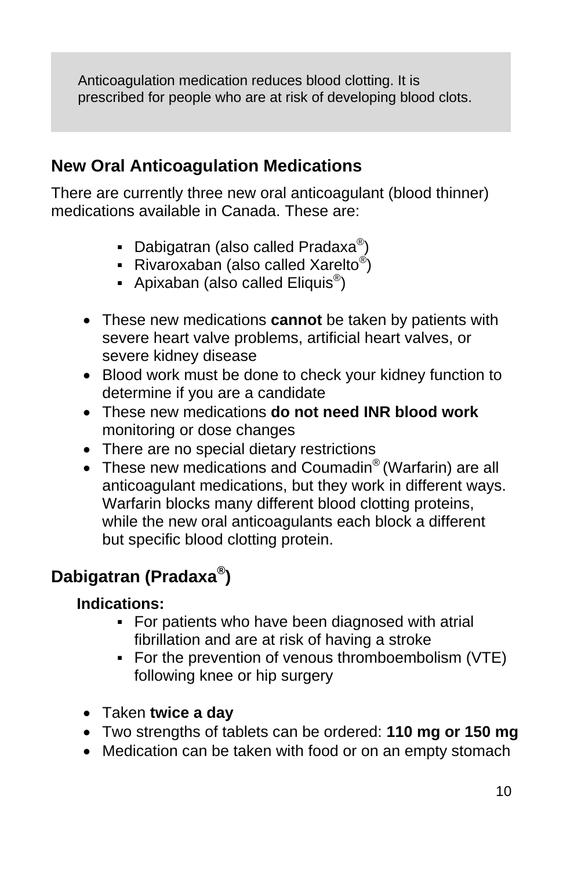Anticoagulation medication reduces blood clotting. It is prescribed for people who are at risk of developing blood clots.

#### <span id="page-9-0"></span>**New Oral Anticoagulation Medications**

There are currently three new oral anticoagulant (blood thinner) medications available in Canada. These are:

- Dabigatran (also called Pradaxa<sup>®</sup>)
- **•** Rivaroxaban (also called Xarelto<sup>®</sup>)
- **•** Apixaban (also called Eliquis<sup>®</sup>)
- These new medications **cannot** be taken by patients with severe heart valve problems, artificial heart valves, or severe kidney disease
- Blood work must be done to check your kidney function to determine if you are a candidate
- These new medications **do not need INR blood work** monitoring or dose changes
- There are no special dietary restrictions
- These new medications and Coumadin<sup>®</sup> (Warfarin) are all anticoagulant medications, but they work in different ways. Warfarin blocks many different blood clotting proteins, while the new oral anticoagulants each block a different but specific blood clotting protein.

## **Dabigatran (Pradaxa®)**

#### **Indications:**

- For patients who have been diagnosed with atrial fibrillation and are at risk of having a stroke
- For the prevention of venous thromboembolism (VTE) following knee or hip surgery
- Taken **twice a day**
- Two strengths of tablets can be ordered: **110 mg or 150 mg**
- Medication can be taken with food or on an empty stomach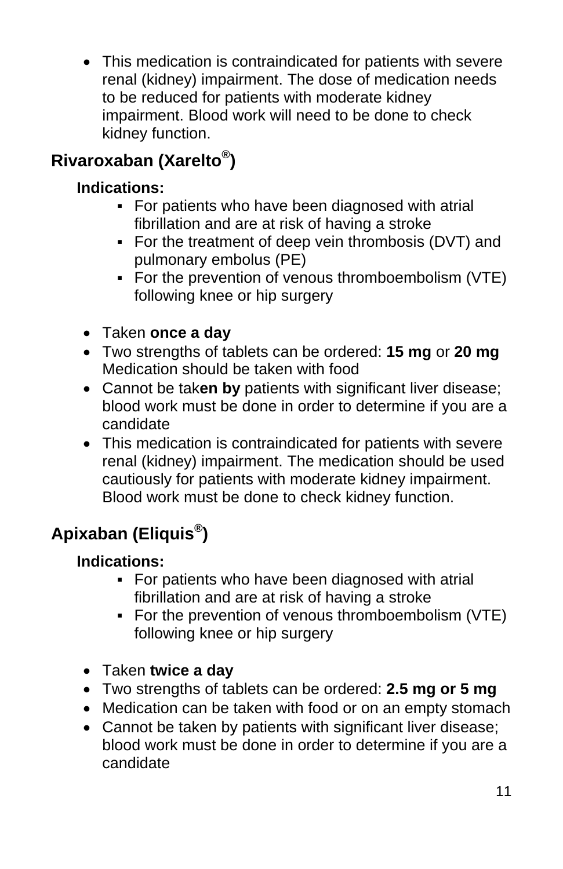• This medication is contraindicated for patients with severe renal (kidney) impairment. The dose of medication needs to be reduced for patients with moderate kidney impairment. Blood work will need to be done to check kidney function.

# **Rivaroxaban (Xarelto®)**

#### **Indications:**

- For patients who have been diagnosed with atrial fibrillation and are at risk of having a stroke
- For the treatment of deep vein thrombosis (DVT) and pulmonary embolus (PE)
- For the prevention of venous thromboembolism (VTE) following knee or hip surgery
- Taken **once a day**
- Two strengths of tablets can be ordered: **15 mg** or **20 mg**  Medication should be taken with food
- Cannot be tak**en by** patients with significant liver disease; blood work must be done in order to determine if you are a candidate
- This medication is contraindicated for patients with severe renal (kidney) impairment. The medication should be used cautiously for patients with moderate kidney impairment. Blood work must be done to check kidney function.

# **Apixaban (Eliquis®)**

#### **Indications:**

- For patients who have been diagnosed with atrial fibrillation and are at risk of having a stroke
- For the prevention of venous thromboembolism (VTE) following knee or hip surgery
- Taken **twice a day**
- Two strengths of tablets can be ordered: **2.5 mg or 5 mg**
- Medication can be taken with food or on an empty stomach
- Cannot be taken by patients with significant liver disease; blood work must be done in order to determine if you are a candidate